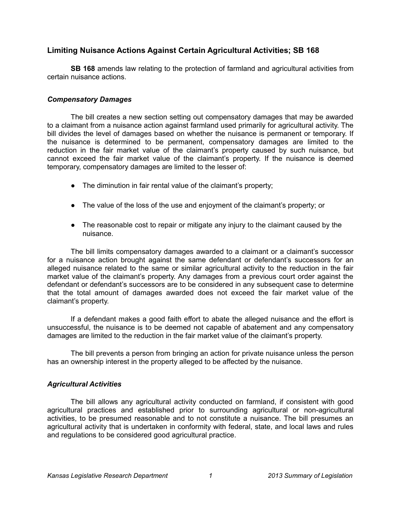## **Limiting Nuisance Actions Against Certain Agricultural Activities; SB 168**

**SB 168** amends law relating to the protection of farmland and agricultural activities from certain nuisance actions.

## *Compensatory Damages*

The bill creates a new section setting out compensatory damages that may be awarded to a claimant from a nuisance action against farmland used primarily for agricultural activity. The bill divides the level of damages based on whether the nuisance is permanent or temporary. If the nuisance is determined to be permanent, compensatory damages are limited to the reduction in the fair market value of the claimant's property caused by such nuisance, but cannot exceed the fair market value of the claimant's property. If the nuisance is deemed temporary, compensatory damages are limited to the lesser of:

- The diminution in fair rental value of the claimant's property;
- The value of the loss of the use and enjoyment of the claimant's property; or
- The reasonable cost to repair or mitigate any injury to the claimant caused by the nuisance.

The bill limits compensatory damages awarded to a claimant or a claimant's successor for a nuisance action brought against the same defendant or defendant's successors for an alleged nuisance related to the same or similar agricultural activity to the reduction in the fair market value of the claimant's property. Any damages from a previous court order against the defendant or defendant's successors are to be considered in any subsequent case to determine that the total amount of damages awarded does not exceed the fair market value of the claimant's property.

If a defendant makes a good faith effort to abate the alleged nuisance and the effort is unsuccessful, the nuisance is to be deemed not capable of abatement and any compensatory damages are limited to the reduction in the fair market value of the claimant's property.

The bill prevents a person from bringing an action for private nuisance unless the person has an ownership interest in the property alleged to be affected by the nuisance.

## *Agricultural Activities*

The bill allows any agricultural activity conducted on farmland, if consistent with good agricultural practices and established prior to surrounding agricultural or non-agricultural activities, to be presumed reasonable and to not constitute a nuisance. The bill presumes an agricultural activity that is undertaken in conformity with federal, state, and local laws and rules and regulations to be considered good agricultural practice.